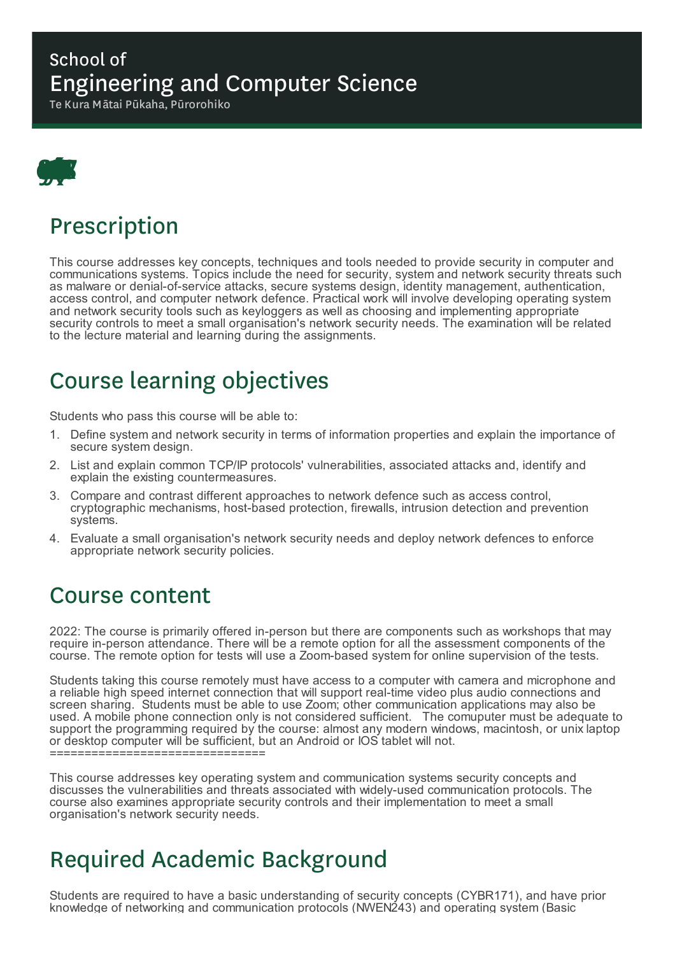#### School of Engineering and Computer Science

Te Kura Mātai Pūkaha, Pūrorohiko



## Prescription

This course addresses key concepts, techniques and tools needed to provide security in computer and communications systems. Topics include the need for security, system and network security threats such as malware or denial-of-service attacks, secure systems design, identity management, authentication, access control, and computer network defence. Practical work will involve developing operating system and network security tools such as keyloggers as well as choosing and implementing appropriate security controls to meet a small organisation's network security needs. The examination will be related to the lecture material and learning during the assignments.

# Course learning objectives

Students who pass this course will be able to:

- 1. Define system and network security in terms of information properties and explain the importance of secure system design.
- 2. List and explain common TCP/IP protocols' vulnerabilities, associated attacks and, identify and explain the existing countermeasures.
- 3. Compare and contrast different approaches to network defence such as access control, cryptographic mechanisms, host-based protection, firewalls, intrusion detection and prevention systems.
- 4. Evaluate a small organisation's network security needs and deploy network defences to enforce appropriate network security policies.

#### Course content

2022: The course is primarily offered in-person but there are components such as workshops that may require in-person attendance. There will be a remote option for all the assessment components of the course. The remote option for tests will use a Zoom-based system for online supervision of the tests.

Students taking this course remotely must have access to a computer with camera and microphone and a reliable high speed internet connection that will support real-time video plus audio connections and screen sharing. Students must be able to use Zoom; other communication applications may also be used. A mobile phone connection only is not considered sufficient. The comuputer must be adequate to support the programming required by the course: almost any modern windows, macintosh, or unix laptop or desktop computer will be sufficient, but an Android or IOS tablet will not. ==================================

This course addresses key operating system and communication systems security concepts and discusses the vulnerabilities and threats associated with widely-used communication protocols. The course also examines appropriate security controls and their implementation to meet a small organisation's network security needs.

# Required Academic Background

Students are required to have a basic understanding of security concepts (CYBR171), and have prior knowledge of networking and communication protocols (NWEN243) and operating system (Basic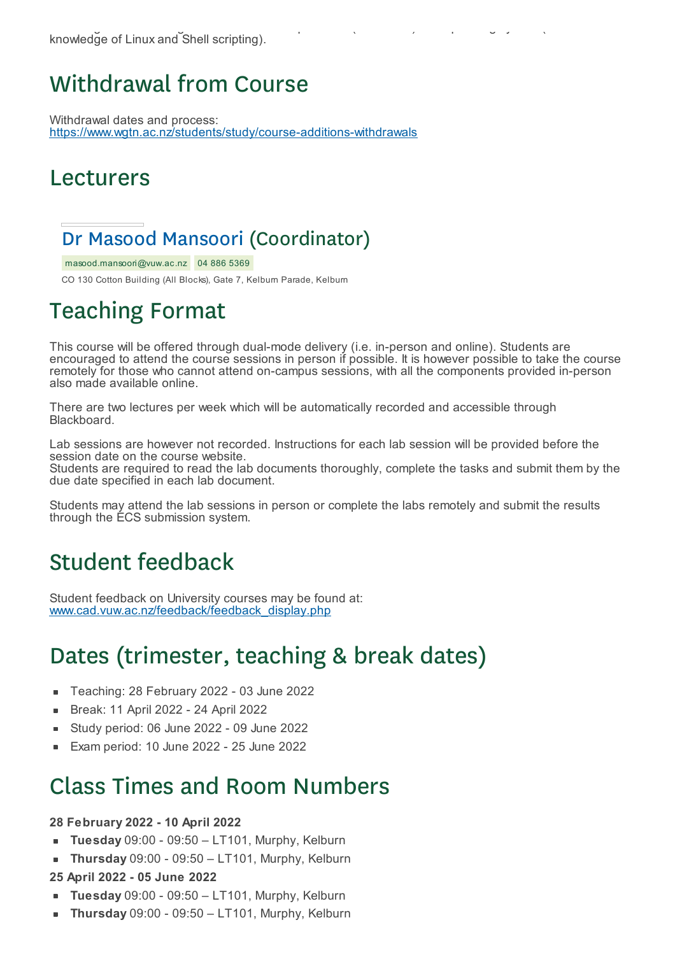### Withdrawal from Course

Withdrawal dates and process: https://www.wgtn.ac.nz/students/study/course-additions-withdrawals

#### Lecturers

#### Dr Masood Mansoori (Coordinator)

masood.mansoori@vuw.ac.nz 04 886 5369

CO 130 Cotton Building (All Blocks), Gate 7, Kelburn Parade, Kelburn

# Teaching Format

This course will be offered through dual-mode delivery (i.e. in-person and online). Students are encouraged to attend the course sessions in person if possible. It is however possible to take the course remotely for those who cannot attend on-campus sessions, with all the components provided in-person also made available online.

There are two lectures per week which will be automatically recorded and accessible through Blackboard.

Lab sessions are however not recorded. Instructions for each lab session will be provided before the session date on the course website.

Students are required to read the lab documents thoroughly, complete the tasks and submit them by the due date specified in each lab document.

Students may attend the lab sessions in person or complete the labs remotely and submit the results through the ECS submission system.

## Student feedback

Student feedback on University courses may be found at: www.cad.vuw.ac.nz/feedback/feedback\_display.php

# Dates (trimester, teaching & break dates)

- Teaching: 28 February 2022 03 June 2022  $\blacksquare$
- Break: 11 April 2022 24 April 2022  $\blacksquare$
- Study period: 06 June 2022 09 June 2022
- Exam period: 10 June 2022 25 June 2022

#### Class Times and Room Numbers

#### **28 February 2022 - 10 April 2022**

- **Tuesday** 09:00 09:50 LT101, Murphy, Kelburn
- **Thursday** 09:00 09:50 LT101, Murphy, Kelburn

#### **25 April 2022 - 05 June 2022**

- **Tuesday** 09:00 09:50 LT101, Murphy, Kelburn
- **Thursday** 09:00 09:50 LT101, Murphy, Kelburn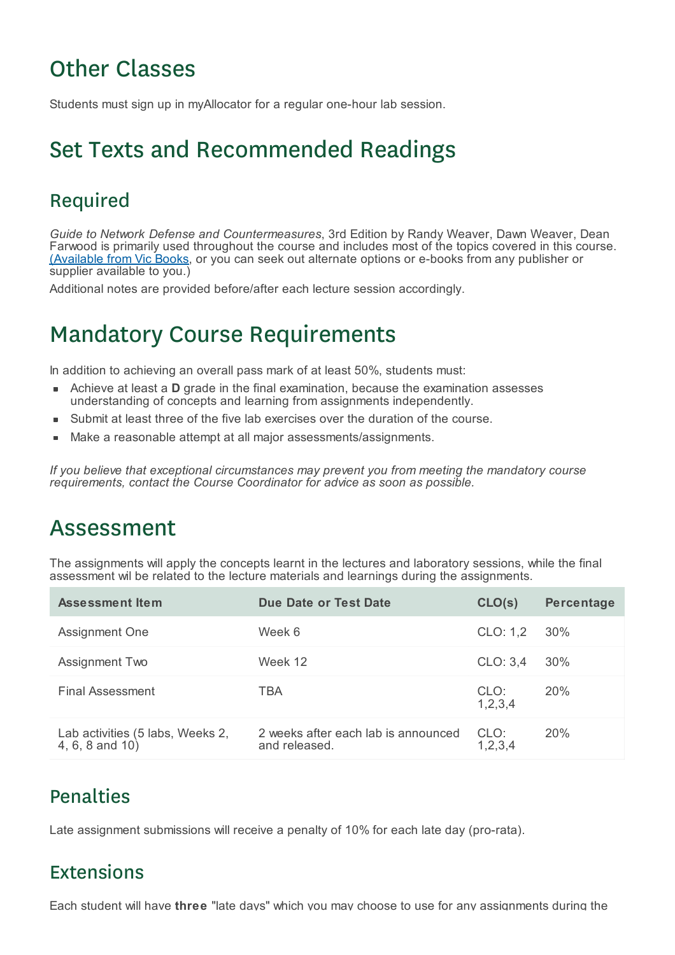# Other Classes

Students must sign up in myAllocator for a regular one-hour lab session.

## Set Texts and Recommended Readings

#### Required

*Guide to Network Defense and Countermeasures*, 3rd Edition by Randy Weaver, Dawn Weaver, Dean Farwood is primarily used throughout the course and includes most of the topics covered in this course. (Available from Vic Books, or you can seek out alternate options or e-books from any publisher or supplier available to you.)

Additional notes are provided before/after each lecture session accordingly.

### Mandatory Course Requirements

In addition to achieving an overall pass mark of at least 50%, students must:

- Achieve at least a **D** grade in the final examination, because the examination assesses understanding of concepts and learning from assignments independently.
- Submit at least three of the five lab exercises over the duration of the course.
- Make a reasonable attempt at all major assessments/assignments.

*If you believe that exceptional circumstances may prevent you from meeting the mandatory course requirements, contact the Course Coordinator for advice as soon as possible.*

#### Assessment

The assignments will apply the concepts learnt in the lectures and laboratory sessions, while the final assessment wil be related to the lecture materials and learnings during the assignments.

| <b>Assessment Item</b>                              | Due Date or Test Date                                | CLO(s)          | <b>Percentage</b> |
|-----------------------------------------------------|------------------------------------------------------|-----------------|-------------------|
| Assignment One                                      | Week 6                                               | CLO: 1,2        | 30%               |
| Assignment Two                                      | Week 12                                              | CLO: 3,4        | 30%               |
| <b>Final Assessment</b>                             | TBA                                                  | CLO:<br>1,2,3,4 | 20%               |
| Lab activities (5 labs, Weeks 2,<br>4, 6, 8 and 10) | 2 weeks after each lab is announced<br>and released. | CLO:<br>1,2,3,4 | <b>20%</b>        |

#### Penalties

Late assignment submissions will receive a penalty of 10% for each late day (pro-rata).

#### Extensions

Each student will have **three** "late days" which you may choose to use for any assignments during the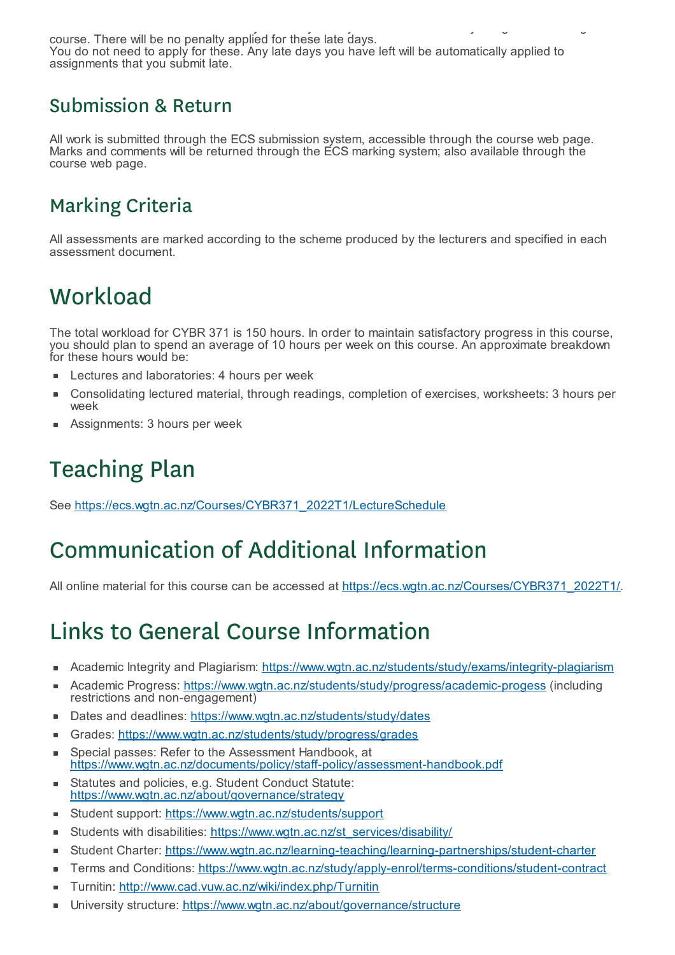Each student will have **three** "late days" which you may choose to use for any assignments during the course. There will be no penalty applied for these late days. You do not need to apply for these. Any late days you have left will be automatically applied to assignments that you submit late.

#### Submission & Return

All work is submitted through the ECS submission system, accessible through the course web page. Marks and comments will be returned through the ECS marking system; also available through the course web page.

#### Marking Criteria

All assessments are marked according to the scheme produced by the lecturers and specified in each assessment document.

# **Workload**

The total workload for CYBR 371 is 150 hours. In order to maintain satisfactory progress in this course, you should plan to spend an average of 10 hours per week on this course. An approximate breakdown for these hours would be:

- Lectures and laboratories: 4 hours per week
- Consolidating lectured material, through readings, completion of exercises, worksheets: 3 hours per É week
- Assignments: 3 hours per week

# Teaching Plan

See https://ecs.wgtn.ac.nz/Courses/CYBR371\_2022T1/LectureSchedule

# Communication of Additional Information

All online material for this course can be accessed at https://ecs.wgtn.ac.nz/Courses/CYBR371\_2022T1/.

# Links to General Course Information

- Academic Integrity and Plagiarism: https://www.wgtn.ac.nz/students/study/exams/integrity-plagiarism
- Academic Progress: https://www.wgtn.ac.nz/students/study/progress/academic-progess (including É restrictions and non-engagement)
- Dates and deadlines: https://www.wgtn.ac.nz/students/study/dates
- Grades: https://www.wgtn.ac.nz/students/study/progress/grades Ė
- Special passes: Refer to the Assessment Handbook, at ٠ https://www.wgtn.ac.nz/documents/policy/staff-policy/assessment-handbook.pdf
- Statutes and policies, e.g. Student Conduct Statute: https://www.wgtn.ac.nz/about/governance/strategy
- Student support: https://www.wgtn.ac.nz/students/support ×
- Students with disabilities: https://www.wgtn.ac.nz/st\_services/disability/ ÷
- $\blacksquare$ Student Charter: https://www.wgtn.ac.nz/learning-teaching/learning-partnerships/student-charter
- Terms and Conditions: https://www.wgtn.ac.nz/study/apply-enrol/terms-conditions/student-contract
- Turnitin: http://www.cad.vuw.ac.nz/wiki/index.php/Turnitin É
- University structure: https://www.wgtn.ac.nz/about/governance/structure